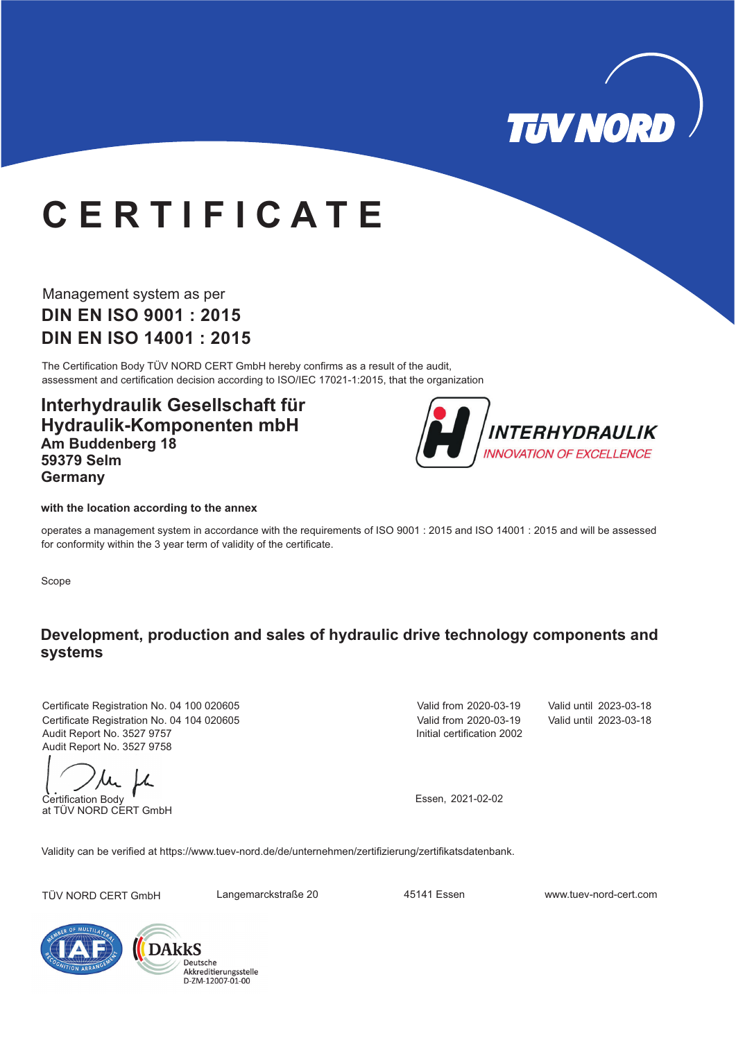

# **C E R T I F I C A T E**

Management system as per **DIN EN ISO 9001 : 2015 DIN EN ISO 14001 : 2015**

The Certification Body TÜV NORD CERT GmbH hereby confirms as a result of the audit, assessment and certification decision according to ISO/IEC 17021-1:2015, that the organization

**Interhydraulik Gesellschaft für Hydraulik-Komponenten mbH Am Buddenberg 18 59379 Selm Germany**



#### **with the location according to the annex**

operates a management system in accordance with the requirements of ISO 9001 : 2015 and ISO 14001 : 2015 and will be assessed for conformity within the 3 year term of validity of the certificate.

Scope

#### **Development, production and sales of hydraulic drive technology components and systems**

Certificate Registration No. 04 100 020605 Audit Report No. 3527 9757 Certificate Registration No. 04 104 020605 Valid until 2023-03-18 Audit Report No. 3527 9758

Certification Body

at TÜV NORD CERT GmbH

Initial certification 2002 Valid from 2020-03-19

Valid from 2020-03-19 Valid until 2023-03-18

Essen, 2021-02-02

Validity can be verified at https://www.tuev-nord.de/de/unternehmen/zertifizierung/zertifikatsdatenbank.

TÜV NORD CERT GmbH Langemarckstraße 20 45141 Essen www.tuev-nord-cert.com